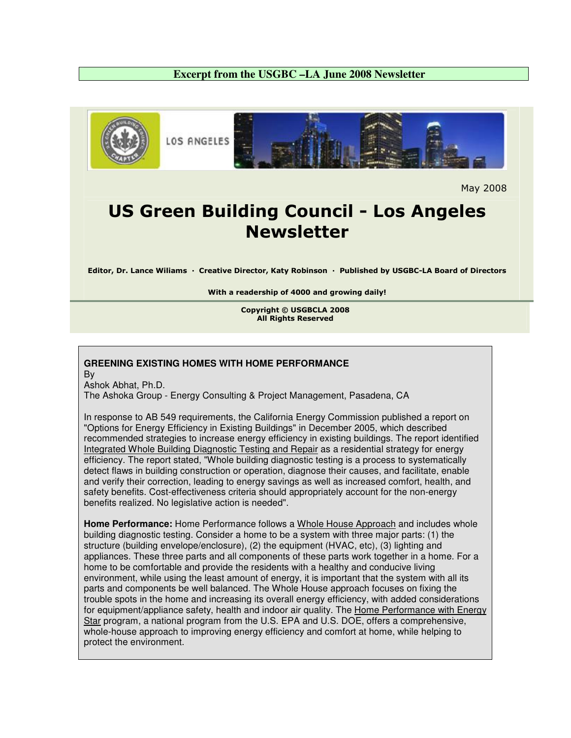## **Excerpt from the USGBC –LA June 2008 Newsletter**



May 2008

## US Green Building Council - Los Angeles Newsletter

Editor, Dr. Lance Wiliams · Creative Director, Katy Robinson · Published by USGBC-LA Board of Directors

With a readership of 4000 and growing daily!

Copyright © USGBCLA 2008 All Rights Reserved

## **GREENING EXISTING HOMES WITH HOME PERFORMANCE**

By

Ashok Abhat, Ph.D. The Ashoka Group - Energy Consulting & Project Management, Pasadena, CA

In response to AB 549 requirements, the California Energy Commission published a report on "Options for Energy Efficiency in Existing Buildings" in December 2005, which described recommended strategies to increase energy efficiency in existing buildings. The report identified Integrated Whole Building Diagnostic Testing and Repair as a residential strategy for energy efficiency. The report stated, "Whole building diagnostic testing is a process to systematically detect flaws in building construction or operation, diagnose their causes, and facilitate, enable and verify their correction, leading to energy savings as well as increased comfort, health, and safety benefits. Cost-effectiveness criteria should appropriately account for the non-energy benefits realized. No legislative action is needed".

**Home Performance:** Home Performance follows a Whole House Approach and includes whole building diagnostic testing. Consider a home to be a system with three major parts: (1) the structure (building envelope/enclosure), (2) the equipment (HVAC, etc), (3) lighting and appliances. These three parts and all components of these parts work together in a home. For a home to be comfortable and provide the residents with a healthy and conducive living environment, while using the least amount of energy, it is important that the system with all its parts and components be well balanced. The Whole House approach focuses on fixing the trouble spots in the home and increasing its overall energy efficiency, with added considerations for equipment/appliance safety, health and indoor air quality. The Home Performance with Energy Star program, a national program from the U.S. EPA and U.S. DOE, offers a comprehensive, whole-house approach to improving energy efficiency and comfort at home, while helping to protect the environment.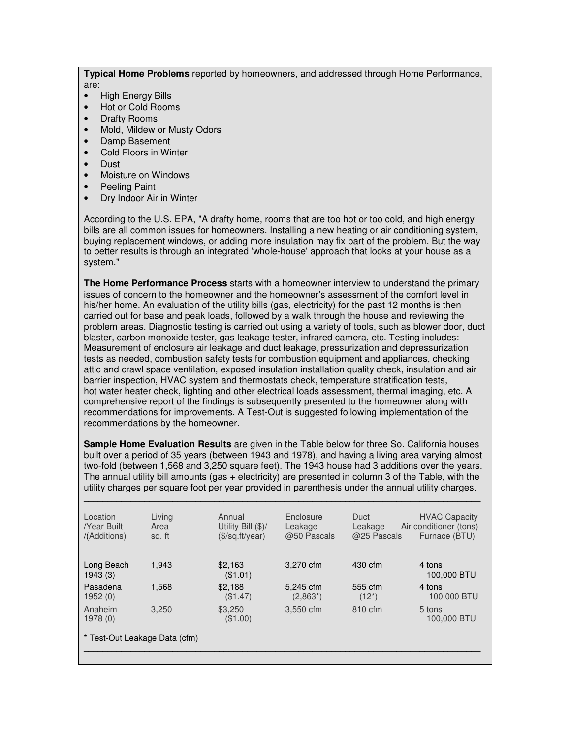**Typical Home Problems** reported by homeowners, and addressed through Home Performance, are:

- High Energy Bills
- Hot or Cold Rooms
- Drafty Rooms
- Mold, Mildew or Musty Odors
- Damp Basement
- Cold Floors in Winter
- Dust
- Moisture on Windows
- Peeling Paint
- Dry Indoor Air in Winter

According to the U.S. EPA, "A drafty home, rooms that are too hot or too cold, and high energy bills are all common issues for homeowners. Installing a new heating or air conditioning system, buying replacement windows, or adding more insulation may fix part of the problem. But the way to better results is through an integrated 'whole-house' approach that looks at your house as a system."

**The Home Performance Process** starts with a homeowner interview to understand the primary issues of concern to the homeowner and the homeowner's assessment of the comfort level in his/her home. An evaluation of the utility bills (gas, electricity) for the past 12 months is then carried out for base and peak loads, followed by a walk through the house and reviewing the problem areas. Diagnostic testing is carried out using a variety of tools, such as blower door, duct blaster, carbon monoxide tester, gas leakage tester, infrared camera, etc. Testing includes: Measurement of enclosure air leakage and duct leakage, pressurization and depressurization tests as needed, combustion safety tests for combustion equipment and appliances, checking attic and crawl space ventilation, exposed insulation installation quality check, insulation and air barrier inspection, HVAC system and thermostats check, temperature stratification tests, hot water heater check, lighting and other electrical loads assessment, thermal imaging, etc. A comprehensive report of the findings is subsequently presented to the homeowner along with recommendations for improvements. A Test-Out is suggested following implementation of the recommendations by the homeowner.

**Sample Home Evaluation Results** are given in the Table below for three So. California houses built over a period of 35 years (between 1943 and 1978), and having a living area varying almost two-fold (between 1,568 and 3,250 square feet). The 1943 house had 3 additions over the years. The annual utility bill amounts (gas + electricity) are presented in column 3 of the Table, with the utility charges per square foot per year provided in parenthesis under the annual utility charges. \_\_\_\_\_\_\_\_\_\_\_\_\_\_\_\_\_\_\_\_\_\_\_\_\_\_\_\_\_\_\_\_\_\_\_\_\_\_\_\_\_\_\_\_\_\_\_\_\_\_\_\_\_\_\_\_\_\_\_\_\_\_\_\_\_\_\_\_\_\_\_\_\_\_\_\_\_\_\_\_\_\_\_\_\_

| Location<br>/Year Built<br>/(Additions) | Living<br>Area<br>sq. ft | Annual<br>Utility Bill (\$)/<br>$($\sqrt{$}$ sq.ft/year) | Enclosure<br>Leakage<br>@50 Pascals | Duct<br>Leakage<br>@25 Pascals | <b>HVAC Capacity</b><br>Air conditioner (tons)<br>Furnace (BTU) |
|-----------------------------------------|--------------------------|----------------------------------------------------------|-------------------------------------|--------------------------------|-----------------------------------------------------------------|
| Long Beach<br>1943(3)                   | 1.943                    | \$2.163<br>(\$1.01)                                      | 3.270 cfm                           | 430 cfm                        | 4 tons<br>100,000 BTU                                           |
| Pasadena<br>1952(0)                     | 1.568                    | \$2,188<br>(\$1.47)                                      | 5,245 cfm<br>$(2,863^*)$            | 555 cfm<br>$(12^*)$            | 4 tons<br>100,000 BTU                                           |
| Anaheim<br>1978(0)                      | 3.250                    | \$3,250<br>(\$1.00)                                      | 3,550 cfm                           | 810 cfm                        | 5 tons<br>100,000 BTU                                           |
| * Test-Out Leakage Data (cfm)           |                          |                                                          |                                     |                                |                                                                 |